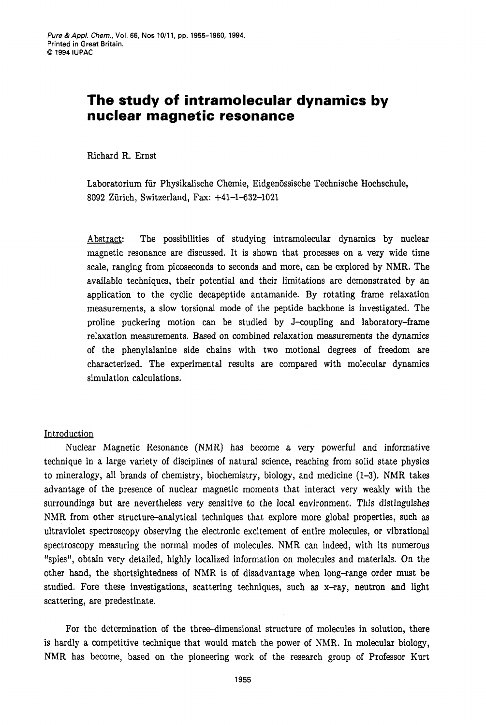# **The study of intramolecular dynamics by nuclear magnetic resonance**

Richard R. Ernst

Laboratorium für Physikalische Chemie, Eidgenössische Technische Hochschule, **8092** Ziirich, Switzerland, Fax: **+41-1-632-1021** 

Abstract: The possibilities of studying intramolecular dynamics by nuclear magnetic resonance are discussed. It is shown that processes on a very wide time scale, ranging from picoseconds to seconds and more, can be explored by NMR. The available techniques, their potential and their limitations are demonstrated by an application to the cyclic decapeptide antamanide. By rotating frame relaxation measurements, a slow torsional mode of the peptide backbone is investigated. The proline puckering motion can be studied by J-coupling and laboratory-frame relaxation measurements. Based on combined relaxation measurements the dynamics of the phenylalanine side chains with two motional degrees of freedom are characterized. The experimental results are compared with molecular dynamics simulation calculations.

## Introduction

Nuclear Magnetic Resonance (NMR) has become a very powerful and informative technique in a large variety of disciplines of natural science, reaching from solid state physics to mineralogy, all brands of chemistry, biochemistry, biology, and medicine **(1-3).** NMR takes advantage of the presence of nuclear magnetic moments that interact very weakly with the surroundings but are nevertheless very sensitive to the local environment. This distinguishes NMR from other structure-analytical techniques that explore more global properties, such **as**  ultraviolet spectroscopy observing the electronic excitement of entire molecules, or vibrational spectroscopy measuring the normal modes of molecules. NMR can indeed, with its numerous "spies", obtain very detailed, highly localized information on molecules and materials. On the other hand, the shortsightedness of NMR is of disadvantage when long-range order must be studied. Fore these investigations, scattering techniques, such **as** x-ray, neutron and light scattering, are predestinate.

For the determination of the three-dimensional structure of molecules in solution, there is hardly a competitive technique that would match the power of NMR. In molecular biology, NMR has become, based on the pioneering work of the research group of Professor Kurt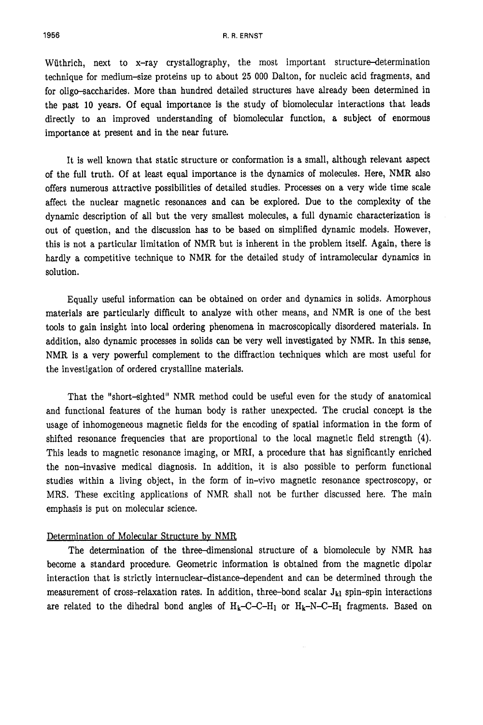Wüthrich, next to x-ray crystallography, the most important structure-determination technique for medium-size proteins up to about **25** 000 Dalton, for nucleic acid fragments, and for oligo-saccharides. More than hundred detailed structures have already been determined in the past 10 years. Of equal importance is the study of biomolecular interactions that leads directly to an improved understanding of biomolecular function, a subject of enormous importance at present and in the near future.

It is well known that static structure or conformation is a small, although relevant aspect of the full truth. Of at least equal importance is the dynamics of molecules. Here, NMR also offers numerous attractive possibilities of detailed studies. Processes on a very wide time scale affect the nuclear magnetic resonances and can be explored. Due to the complexity of the dynamic description of all but the very smallest molecules, a full dynamic characterization is out of question, and the discussion has to be based on simplified dynamic models. However, this is not a particular limitation of NMR but is inherent in the problem itself. Again, there is hardly a competitive technique to NMR for the detailed study of intramolecular dynamics in solution.

Equally useful information **an** be obtained on order and dynamics in solids. Amorphous materials are particularly difficult to analyze with other means, and NMR is one of the best tools to gain insight into local ordering phenomena in macroscopically disordered materials. In addition, also dynamic processes in solids can be very well investigated by NMR. In this sense, NMR is a very powerful complement to the diffraction techniques which are most useful for the investigation of ordered crystalline materials.

That the "short-sighted" NMR method could be useful even for the study of anatomical and functional features of the human body is rather unexpected. The crucial concept is the usage of inhomogeneous magnetic fields for the encoding of spatial information in the form of shifted resonance frequencies that are proportional to the local magnetic field strength **(4).**  This leads to magnetic resonance imaging, or MRI, a procedure that has significantly enriched the non-invasive medical diagnosis. In addition, it is also possible to perform functional studies within a living object, in the form of in-vivo magnetic resonance spectroscopy, or MRS. These exciting applications of NMR shall not be further discussed here. The main emphasis is put on molecular science.

#### Determination of Molecular Structure by NMR

The determination of the three-dimensional structure of a biomolecule by NMR has become a standard procedure. Geometric information is obtained from the magnetic dipolar interaction that is strictly **internuclear-distance-dependent** and can be determined through the measurement of cross-relaxation rates. In addition, three-bond scalar  $J_{kl}$  spin-spin interactions are related to the dihedral bond angles of  $H_k$ -C-C-H<sub>1</sub> or  $H_k$ -N-C-H<sub>1</sub> fragments. Based on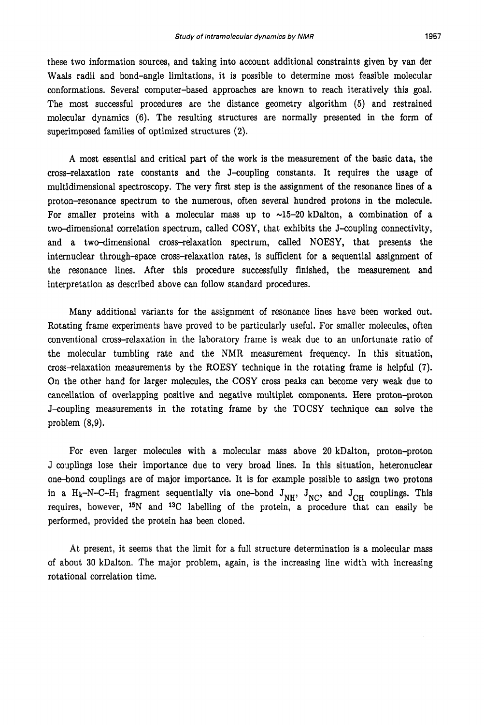these two information sources, and taking into account additional constraints given by van der Waals radii and bond-angle limitations, it is possible to determine most feasible molecular conformations. Several computer-based approaches are known to reach iteratively this goal. The most successful procedures are the distance geometry algorithm **(5)** and restrained molecular dynamics (6). The resulting structures are normally presented in the form of superimposed families of optimized structures **(2).** 

**A** most essential and critical part of the work is the measurement of the basic data, the cross-relaxation rate constants and the J-coupling constants. It requires the usage of multidimensional spectroscopy. The very first step is the assignment of the resonance lines of a proton-resonance spectrum to the numerous, often several hundred protons in the molecule. For smaller proteins with a molecular mass up to  $\sim$ 15-20 kDalton, a combination of a two-dimensional correlation spectrum, called COSY, that exhibits the J-coupling connectivity, and a two-dimensional cross-relaxation spectrum, called NOESY, that presents the internuclear through-space cross-relaxation rates, is sufficient for a sequential assignment of the resonance lines. After this procedure successfully finished, the measurement and interpretation **as** described above can follow standard procedures.

Many additional variants for the assignment of resonance lines have been worked out. Rotating frame experiments have proved to be particularly useful. For smaller molecules, often conventional cross-relaxation in the laboratory frame is weak due to an unfortunate ratio of the molecular tumbling rate and the NMR measurement frequency. In this situation, cross-relaxation measurements by the ROESY technique in the rotating frame is helpful **(7).**  On the other hand for larger molecules, the *COSY* cross peaks can become very weak due to cancellation of overlapping positive and negative multiplet components. Here proton-proton J-coupling measurements in the rotating frame by the TOCSY technique can solve the problem **(8,9).** 

For even larger molecules with a molecular mass above **20** kDalton, proton-proton J couplings lose their importance due to very broad lines. In this situation, heteronuclear one-bond couplings are of major importance. It is for example possible to assign two protons in a H<sub>k</sub>-N-C-H<sub>1</sub> fragment sequentially via one-bond  $J_{NH}$ ,  $J_{NC}$ , and  $J_{CH}$  couplings. This requires, however, <sup>15</sup>N and <sup>13</sup>C labelling of the protein, a procedure that can easily be performed, provided the protein has been cloned.

At present, it seems that the limit for a full structure determination is a molecular mass of about 30 kDalton. The major problem, again, is the increasing line width with increasing rotational correlation time.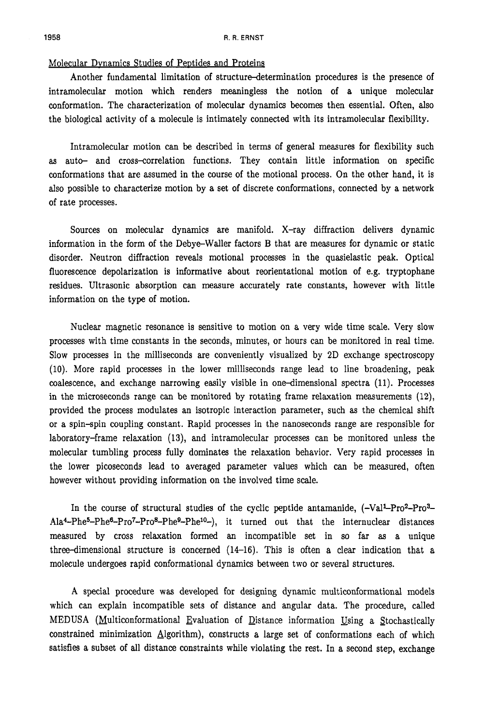#### Molecular Dynamics Studies of Peptides and Proteins

Another fundamental limitation of structure-determination procedures is the presence of intramolecular motion which renders meaningless the notion of a unique molecular conformation. The characterization of molecular dynamics becomes then essential. Often, also the biological activity of a molecule is intimately connected with its intramolecular flexibility.

Intramolecular motion can be described in terms of general measures for flexibility such **as** auto- and cross-correlation functions. They contain little information on specific conformations that are assumed in the course of the motional process. On the other hand, it is also possible to characterize motion by a set of discrete conformations, connected by a network of rate processes.

Sources on molecular dynamics are manifold. X-ray diffraction delivers dynamic information in the form of the Debye-Waller factors B that are measures for dynamic or static disorder. Neutron diffraction reveals motional processes in the quasielastic peak. Optical fluorescence depolarization is informative about reorientational motion of e.g. tryptophane residues. Ultrasonic absorption can measure accurately rate constants, however with little information on the type of motion.

Nuclear magnetic resonance is sensitive to motion on a very wide time scale. Very slow processes with time constants in the seconds, minutes, or hours can be monitored in real time. Slow processes in the milliseconds are conveniently visualized by 2D exchange spectroscopy (10). More rapid processes in the lower milliseconds range lead to line broadening, peak coalescence, and exchange narrowing easily visible in one-dimensional spectra (11). Processes in the microseconds range can be monitored by rotating frame relaxation measurements (12), provided the process modulates an isotropic interaction parameter, such **as** the chemical shift or a spin-spin coupling constant. Rapid processes in the nanoseconds range are responsible for laboratory-frame relaxation **(13),** and intramolecular processes can be monitored unless the molecular tumbling process fully dominates the relaxation behavior. Very rapid processes in the lower picoseconds lead to averaged parameter values which can be measured, often however without providing information on the involved time scale.

In the course of structural studies of the cyclic peptide antamanide,  $(-Val<sup>1</sup>-Pro<sup>2</sup>-Pro<sup>3</sup>)$ Ala<sup>4</sup>-Phe<sup>5</sup>-Phe<sup>6</sup>-Pro<sup>7</sup>-Pro<sup>8</sup>-Phe<sup>9</sup>-Phe<sup>9</sup>-Phe<sup>10</sup>-), it turned out that the internuclear distances measured by cross relaxation formed an incompatible set in so far **as** a unique three-dimensional structure is concerned (14-16). This is often a clear indication that a molecule undergoes rapid conformational dynamics between two or several structures.

A special procedure was developed for designing dynamic multiconformational models which can explain incompatible sets of distance and angular data. The procedure, called MEDUSA (Multiconformational Evaluation of Distance information Using a Stochastically constrained minimization Algorithm), constructs a large set of conformations each of which satisfies a subset of all distance constraints while violating the rest. In a second step, exchange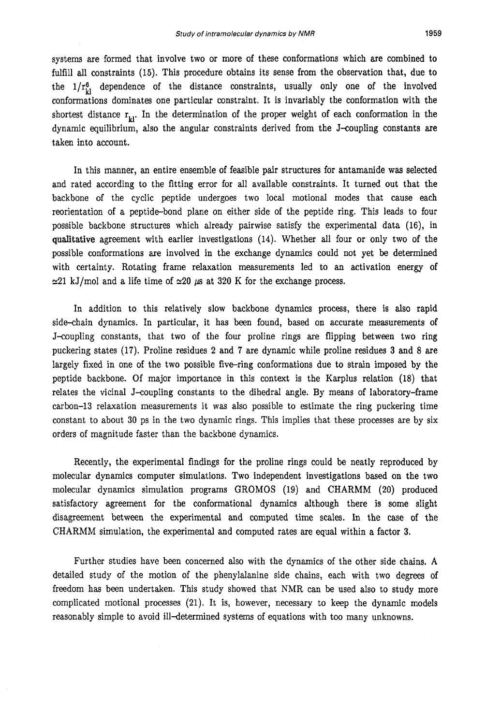systems are formed that involve two or more of these conformations which are combined to fulfill all constraints (15). This procedure obtains its sense from the observation that, due to the  $1/r_{\text{b}}^6$  dependence of the distance constraints, usually only one of the involved conformations dominates one particular constraint. It is invariably the conformation with the shortest distance  $r_{i,j}$ . In the determination of the proper weight of each conformation in the dynamic equilibrium, also the angular constraints derived from the J-coupling constants are taken into account.

In this manner, an entire ensemble of feasible pair structures for antamanide was selected and rated according to the fitting error for all available constraints. It turned out that the backbone of the cyclic peptide undergoes two local motional modes that cause each reorientation of a peptide-bond plane on either side of the peptide ring. This leads to four possible backbone structures which already pairwise satisfy the experimental data **(16),** in qualitative agreement with earlier investigations **(14).** Whether all four or only two of the possible conformations are involved in the exchange dynamics could not yet be determined with certainty. Rotating frame relaxation measurements led to an activation energy of  $\approx$  21 kJ/mol and a life time of  $\approx$  20  $\mu$ s at 320 K for the exchange process.

In addition to this relatively slow backbone dynamics process, there is also rapid side-chain dynamics. In particular, it has been found, based on accurate measurements of J-coupling constants, that two of the four proline rings are flipping between two ring puckering states **(17).** Proline residues **2** and **7** are dynamic while proline residues **3** and 8 are largely fixed in one of the two possible five-ring conformations due to strain imposed by the peptide backbone. Of major importance in this context is the Karplus relation (18) that relates the vicinal J-coupling constants to the dihedral angle. By means of laboratory-frame carbon-13 relaxation measurements it was also possible to estimate the ring puckering time constant to about 30 ps in the two dynamic rings. This implies that these processes are by six orders of magnitude faster than the backbone dynamics.

Recently, the experimental findings for the proline rings could be neatly reproduced by molecular dynamics computer simulations. Two independent investigations based on the two molecular dynamics simulation programs GROMOS (19) and CHARMM (20) produced satisfactory agreement for the conformational dynamics although there is some slight disagreement between the experimental and computed time scales. In the case of the CHARMM simulation, the experimental and computed rates are equal within a factor 3.

Further studies have been concerned also with the dynamics of the other side chains. **A**  detailed study of the motion of the phenylalanine side chains, each with two degrees of freedom has been undertaken. This study showed that NMR can be used also to study more complicated motional processes **(21).** It is, however, necessary to keep the dynamic models reasonably simple to avoid ill-determined systems of equations with too many unknowns.